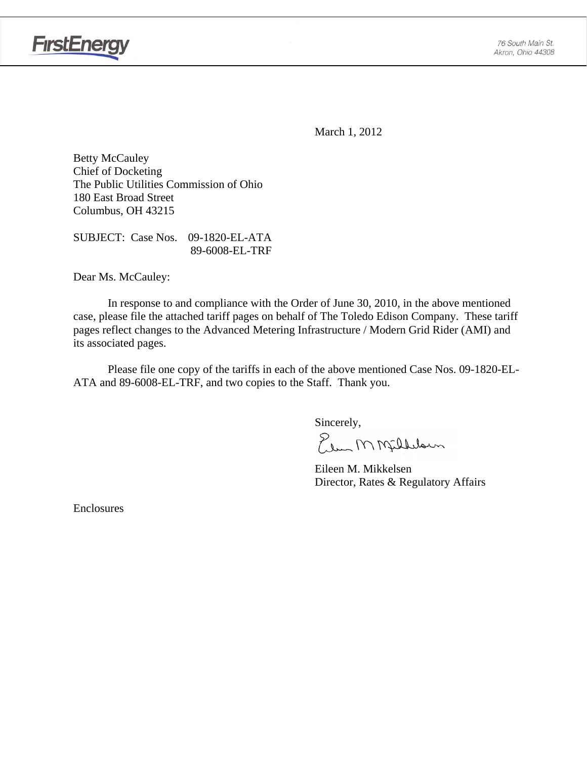



March 1, 2012

Betty McCauley Chief of Docketing The Public Utilities Commission of Ohio 180 East Broad Street Columbus, OH 43215

SUBJECT: Case Nos. 09-1820-EL-ATA 89-6008-EL-TRF

Dear Ms. McCauley:

 In response to and compliance with the Order of June 30, 2010, in the above mentioned case, please file the attached tariff pages on behalf of The Toledo Edison Company. These tariff pages reflect changes to the Advanced Metering Infrastructure / Modern Grid Rider (AMI) and its associated pages.

Please file one copy of the tariffs in each of the above mentioned Case Nos. 09-1820-EL-ATA and 89-6008-EL-TRF, and two copies to the Staff. Thank you.

Sincerely,

Elem M Milleloun

 Eileen M. Mikkelsen Director, Rates & Regulatory Affairs

Enclosures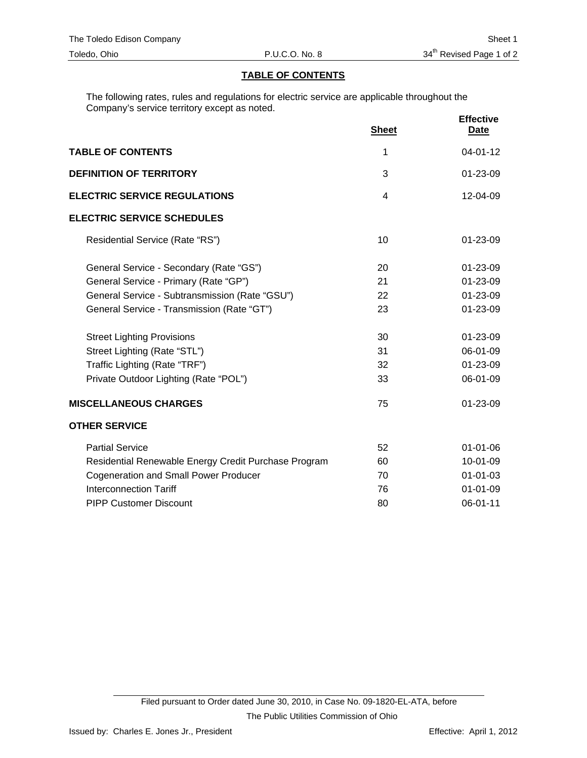### **TABLE OF CONTENTS**

The following rates, rules and regulations for electric service are applicable throughout the Company's service territory except as noted.

|                                                      | <b>Sheet</b>   | <b>Effective</b><br><b>Date</b> |
|------------------------------------------------------|----------------|---------------------------------|
| <b>TABLE OF CONTENTS</b>                             | 1              | $04 - 01 - 12$                  |
| <b>DEFINITION OF TERRITORY</b>                       | 3              | 01-23-09                        |
| <b>ELECTRIC SERVICE REGULATIONS</b>                  | $\overline{4}$ | $12 - 04 - 09$                  |
| <b>ELECTRIC SERVICE SCHEDULES</b>                    |                |                                 |
| Residential Service (Rate "RS")                      | 10             | 01-23-09                        |
| General Service - Secondary (Rate "GS")              | 20             | 01-23-09                        |
| General Service - Primary (Rate "GP")                | 21             | $01 - 23 - 09$                  |
| General Service - Subtransmission (Rate "GSU")       | 22             | 01-23-09                        |
| General Service - Transmission (Rate "GT")           | 23             | $01 - 23 - 09$                  |
| <b>Street Lighting Provisions</b>                    | 30             | 01-23-09                        |
| Street Lighting (Rate "STL")                         | 31             | 06-01-09                        |
| Traffic Lighting (Rate "TRF")                        | 32             | 01-23-09                        |
| Private Outdoor Lighting (Rate "POL")                | 33             | 06-01-09                        |
| <b>MISCELLANEOUS CHARGES</b>                         | 75             | 01-23-09                        |
| <b>OTHER SERVICE</b>                                 |                |                                 |
| <b>Partial Service</b>                               | 52             | $01 - 01 - 06$                  |
| Residential Renewable Energy Credit Purchase Program | 60             | 10-01-09                        |
| <b>Cogeneration and Small Power Producer</b>         | 70             | $01 - 01 - 03$                  |
| <b>Interconnection Tariff</b>                        | 76             | $01 - 01 - 09$                  |
| <b>PIPP Customer Discount</b>                        | 80             | 06-01-11                        |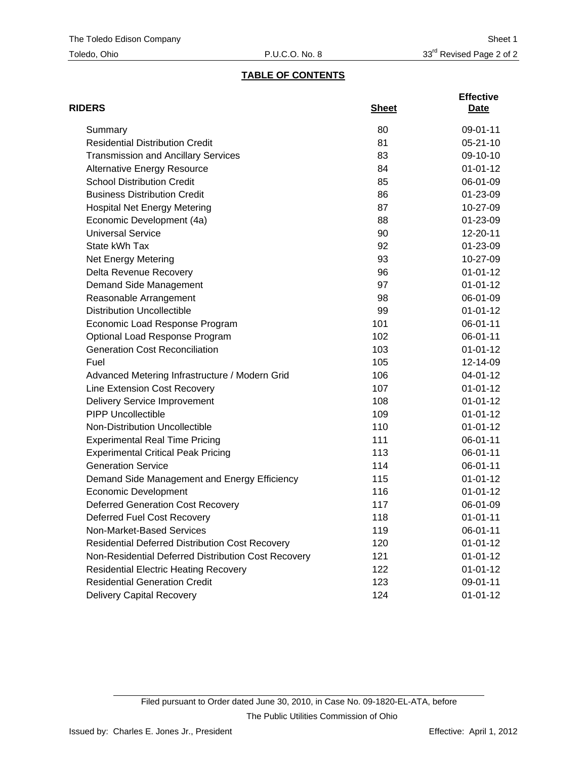## **TABLE OF CONTENTS**

| <b>RIDERS</b>                                          | <b>Sheet</b> | <b>Effective</b><br>Date |
|--------------------------------------------------------|--------------|--------------------------|
| Summary                                                | 80           | 09-01-11                 |
| <b>Residential Distribution Credit</b>                 | 81           | $05 - 21 - 10$           |
| <b>Transmission and Ancillary Services</b>             | 83           | 09-10-10                 |
| <b>Alternative Energy Resource</b>                     | 84           | $01 - 01 - 12$           |
| <b>School Distribution Credit</b>                      | 85           | 06-01-09                 |
| <b>Business Distribution Credit</b>                    | 86           | 01-23-09                 |
| <b>Hospital Net Energy Metering</b>                    | 87           | 10-27-09                 |
| Economic Development (4a)                              | 88           | 01-23-09                 |
| <b>Universal Service</b>                               | 90           | 12-20-11                 |
| State kWh Tax                                          | 92           | 01-23-09                 |
| <b>Net Energy Metering</b>                             | 93           | 10-27-09                 |
| Delta Revenue Recovery                                 | 96           | $01 - 01 - 12$           |
| Demand Side Management                                 | 97           | $01 - 01 - 12$           |
| Reasonable Arrangement                                 | 98           | 06-01-09                 |
| <b>Distribution Uncollectible</b>                      | 99           | $01 - 01 - 12$           |
| Economic Load Response Program                         | 101          | 06-01-11                 |
| Optional Load Response Program                         | 102          | 06-01-11                 |
| <b>Generation Cost Reconciliation</b>                  | 103          | $01 - 01 - 12$           |
| Fuel                                                   | 105          | 12-14-09                 |
| Advanced Metering Infrastructure / Modern Grid         | 106          | 04-01-12                 |
| Line Extension Cost Recovery                           | 107          | $01 - 01 - 12$           |
| <b>Delivery Service Improvement</b>                    | 108          | $01 - 01 - 12$           |
| <b>PIPP Uncollectible</b>                              | 109          | $01 - 01 - 12$           |
| Non-Distribution Uncollectible                         | 110          | $01 - 01 - 12$           |
| <b>Experimental Real Time Pricing</b>                  | 111          | 06-01-11                 |
| <b>Experimental Critical Peak Pricing</b>              | 113          | 06-01-11                 |
| <b>Generation Service</b>                              | 114          | 06-01-11                 |
| Demand Side Management and Energy Efficiency           | 115          | $01 - 01 - 12$           |
| <b>Economic Development</b>                            | 116          | $01 - 01 - 12$           |
| <b>Deferred Generation Cost Recovery</b>               | 117          | 06-01-09                 |
| Deferred Fuel Cost Recovery                            | 118          | $01 - 01 - 11$           |
| Non-Market-Based Services                              | 119          | 06-01-11                 |
| <b>Residential Deferred Distribution Cost Recovery</b> | 120          | $01 - 01 - 12$           |
| Non-Residential Deferred Distribution Cost Recovery    | 121          | $01 - 01 - 12$           |
| <b>Residential Electric Heating Recovery</b>           | 122          | $01 - 01 - 12$           |
| <b>Residential Generation Credit</b>                   | 123          | 09-01-11                 |
| <b>Delivery Capital Recovery</b>                       | 124          | $01 - 01 - 12$           |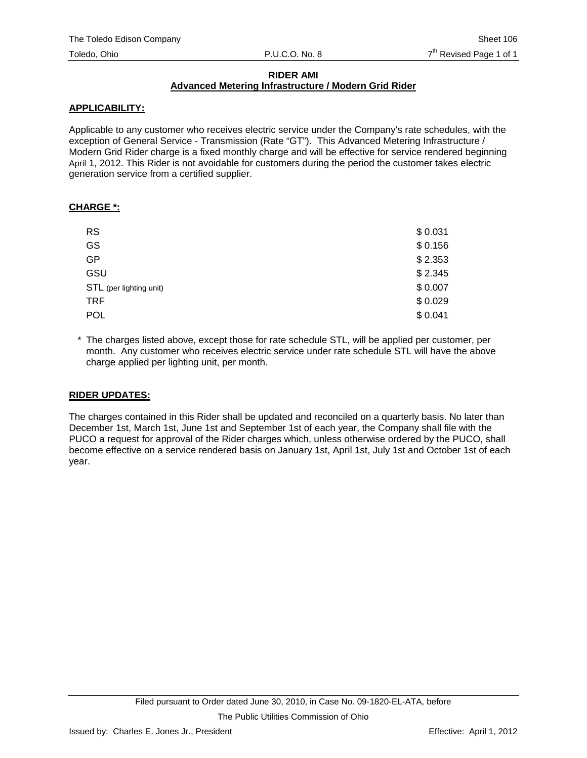#### **RIDER AMI Advanced Metering Infrastructure / Modern Grid Rider**

### **APPLICABILITY:**

Applicable to any customer who receives electric service under the Company's rate schedules, with the exception of General Service - Transmission (Rate "GT"). This Advanced Metering Infrastructure / Modern Grid Rider charge is a fixed monthly charge and will be effective for service rendered beginning April 1, 2012. This Rider is not avoidable for customers during the period the customer takes electric generation service from a certified supplier.

#### **CHARGE \*:**

| <b>RS</b>               | \$0.031 |
|-------------------------|---------|
| GS                      | \$0.156 |
| <b>GP</b>               | \$2.353 |
| GSU                     | \$2.345 |
| STL (per lighting unit) | \$0.007 |
| <b>TRF</b>              | \$0.029 |
| <b>POL</b>              | \$0.041 |

\* The charges listed above, except those for rate schedule STL, will be applied per customer, per month. Any customer who receives electric service under rate schedule STL will have the above charge applied per lighting unit, per month.

## **RIDER UPDATES:**

The charges contained in this Rider shall be updated and reconciled on a quarterly basis. No later than December 1st, March 1st, June 1st and September 1st of each year, the Company shall file with the PUCO a request for approval of the Rider charges which, unless otherwise ordered by the PUCO, shall become effective on a service rendered basis on January 1st, April 1st, July 1st and October 1st of each year.